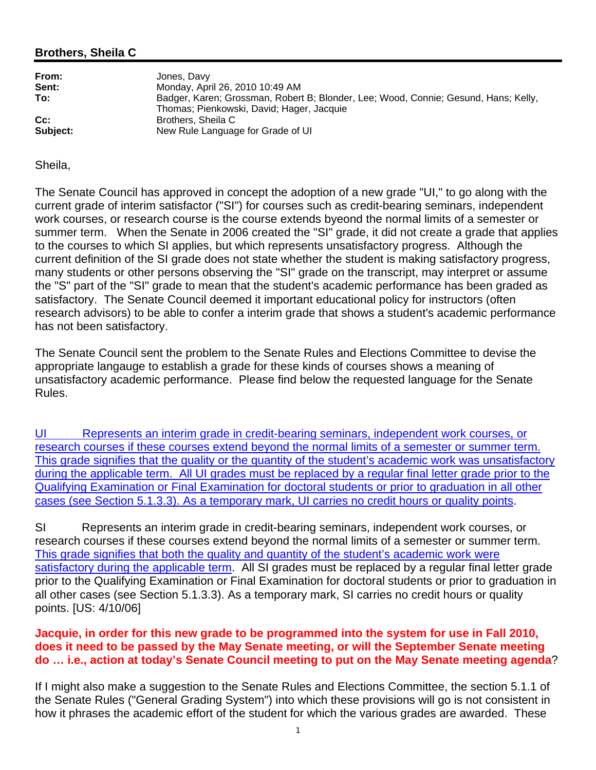## **Brothers, Sheila C**

| From:    | Jones, Davy                                                                                                                      |
|----------|----------------------------------------------------------------------------------------------------------------------------------|
| Sent:    | Monday, April 26, 2010 10:49 AM                                                                                                  |
| To:      | Badger, Karen; Grossman, Robert B; Blonder, Lee; Wood, Connie; Gesund, Hans; Kelly,<br>Thomas; Pienkowski, David; Hager, Jacquie |
| $Cc$ :   | Brothers, Sheila C                                                                                                               |
| Subject: | New Rule Language for Grade of UI                                                                                                |

Sheila,

The Senate Council has approved in concept the adoption of a new grade "UI," to go along with the current grade of interim satisfactor ("SI") for courses such as credit-bearing seminars, independent work courses, or research course is the course extends byeond the normal limits of a semester or summer term. When the Senate in 2006 created the "SI" grade, it did not create a grade that applies to the courses to which SI applies, but which represents unsatisfactory progress. Although the current definition of the SI grade does not state whether the student is making satisfactory progress, many students or other persons observing the "SI" grade on the transcript, may interpret or assume the "S" part of the "SI" grade to mean that the student's academic performance has been graded as satisfactory. The Senate Council deemed it important educational policy for instructors (often research advisors) to be able to confer a interim grade that shows a student's academic performance has not been satisfactory.

The Senate Council sent the problem to the Senate Rules and Elections Committee to devise the appropriate langauge to establish a grade for these kinds of courses shows a meaning of unsatisfactory academic performance. Please find below the requested language for the Senate Rules.

UI Represents an interim grade in credit-bearing seminars, independent work courses, or research courses if these courses extend beyond the normal limits of a semester or summer term. This grade signifies that the quality or the quantity of the student's academic work was unsatisfactory during the applicable term. All UI grades must be replaced by a regular final letter grade prior to the Qualifying Examination or Final Examination for doctoral students or prior to graduation in all other cases (see Section 5.1.3.3). As a temporary mark, UI carries no credit hours or quality points.

SI Represents an interim grade in credit-bearing seminars, independent work courses, or research courses if these courses extend beyond the normal limits of a semester or summer term. This grade signifies that both the quality and quantity of the student's academic work were satisfactory during the applicable term. All SI grades must be replaced by a regular final letter grade prior to the Qualifying Examination or Final Examination for doctoral students or prior to graduation in all other cases (see Section 5.1.3.3). As a temporary mark, SI carries no credit hours or quality points. [US: 4/10/06]

## **Jacquie, in order for this new grade to be programmed into the system for use in Fall 2010, does it need to be passed by the May Senate meeting, or will the September Senate meeting do … i.e., action at today's Senate Council meeting to put on the May Senate meeting agenda**?

If I might also make a suggestion to the Senate Rules and Elections Committee, the section 5.1.1 of the Senate Rules ("General Grading System") into which these provisions will go is not consistent in how it phrases the academic effort of the student for which the various grades are awarded. These